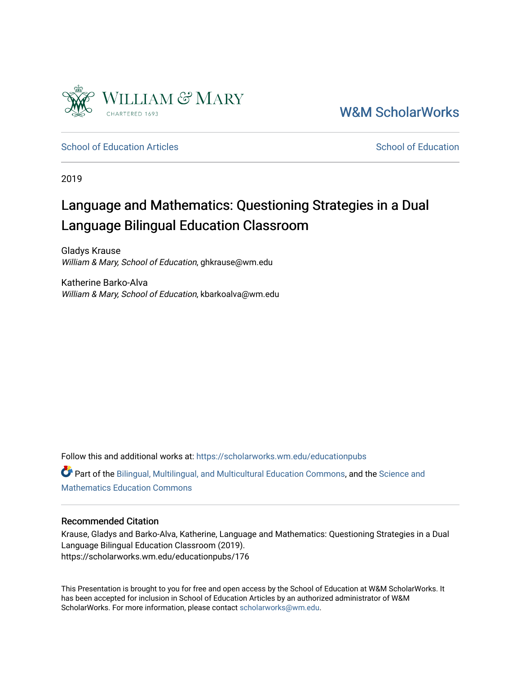

[W&M ScholarWorks](https://scholarworks.wm.edu/) 

[School of Education Articles](https://scholarworks.wm.edu/educationpubs) [School of Education](https://scholarworks.wm.edu/education) School of Education

2019

# Language and Mathematics: Questioning Strategies in a Dual Language Bilingual Education Classroom

Gladys Krause William & Mary, School of Education, ghkrause@wm.edu

Katherine Barko-Alva William & Mary, School of Education, kbarkoalva@wm.edu

Follow this and additional works at: [https://scholarworks.wm.edu/educationpubs](https://scholarworks.wm.edu/educationpubs?utm_source=scholarworks.wm.edu%2Feducationpubs%2F176&utm_medium=PDF&utm_campaign=PDFCoverPages)  Part of the [Bilingual, Multilingual, and Multicultural Education Commons,](http://network.bepress.com/hgg/discipline/785?utm_source=scholarworks.wm.edu%2Feducationpubs%2F176&utm_medium=PDF&utm_campaign=PDFCoverPages) and the Science and [Mathematics Education Commons](http://network.bepress.com/hgg/discipline/800?utm_source=scholarworks.wm.edu%2Feducationpubs%2F176&utm_medium=PDF&utm_campaign=PDFCoverPages) 

# Recommended Citation

Krause, Gladys and Barko-Alva, Katherine, Language and Mathematics: Questioning Strategies in a Dual Language Bilingual Education Classroom (2019). https://scholarworks.wm.edu/educationpubs/176

This Presentation is brought to you for free and open access by the School of Education at W&M ScholarWorks. It has been accepted for inclusion in School of Education Articles by an authorized administrator of W&M ScholarWorks. For more information, please contact [scholarworks@wm.edu.](mailto:scholarworks@wm.edu)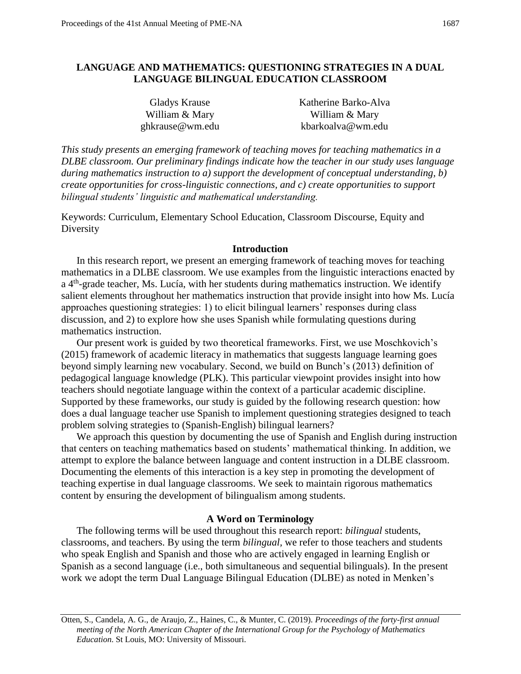# **LANGUAGE AND MATHEMATICS: QUESTIONING STRATEGIES IN A DUAL LANGUAGE BILINGUAL EDUCATION CLASSROOM**

| Gladys Krause   | Katherine Barko-Alva |
|-----------------|----------------------|
| William & Mary  | William & Mary       |
| ghkrause@wm.edu | kbarkoalva@wm.edu    |

*This study presents an emerging framework of teaching moves for teaching mathematics in a DLBE classroom. Our preliminary findings indicate how the teacher in our study uses language during mathematics instruction to a) support the development of conceptual understanding, b) create opportunities for cross-linguistic connections, and c) create opportunities to support bilingual students' linguistic and mathematical understanding.*

Keywords: Curriculum, Elementary School Education, Classroom Discourse, Equity and **Diversity** 

#### **Introduction**

In this research report, we present an emerging framework of teaching moves for teaching mathematics in a DLBE classroom. We use examples from the linguistic interactions enacted by a 4<sup>th</sup>-grade teacher, Ms. Lucía, with her students during mathematics instruction. We identify salient elements throughout her mathematics instruction that provide insight into how Ms. Lucía approaches questioning strategies: 1) to elicit bilingual learners' responses during class discussion, and 2) to explore how she uses Spanish while formulating questions during mathematics instruction.

Our present work is guided by two theoretical frameworks. First, we use Moschkovich's (2015) framework of academic literacy in mathematics that suggests language learning goes beyond simply learning new vocabulary. Second, we build on Bunch's (2013) definition of pedagogical language knowledge (PLK). This particular viewpoint provides insight into how teachers should negotiate language within the context of a particular academic discipline. Supported by these frameworks, our study is guided by the following research question: how does a dual language teacher use Spanish to implement questioning strategies designed to teach problem solving strategies to (Spanish-English) bilingual learners?

We approach this question by documenting the use of Spanish and English during instruction that centers on teaching mathematics based on students' mathematical thinking. In addition, we attempt to explore the balance between language and content instruction in a DLBE classroom. Documenting the elements of this interaction is a key step in promoting the development of teaching expertise in dual language classrooms. We seek to maintain rigorous mathematics content by ensuring the development of bilingualism among students.

## **A Word on Terminology**

The following terms will be used throughout this research report: *bilingual* students, classrooms, and teachers. By using the term *bilingual,* we refer to those teachers and students who speak English and Spanish and those who are actively engaged in learning English or Spanish as a second language (i.e., both simultaneous and sequential bilinguals). In the present work we adopt the term Dual Language Bilingual Education (DLBE) as noted in Menken's

Otten, S., Candela, A. G., de Araujo, Z., Haines, C., & Munter, C. (2019). *Proceedings of the forty-first annual meeting of the North American Chapter of the International Group for the Psychology of Mathematics Education*. St Louis, MO: University of Missouri.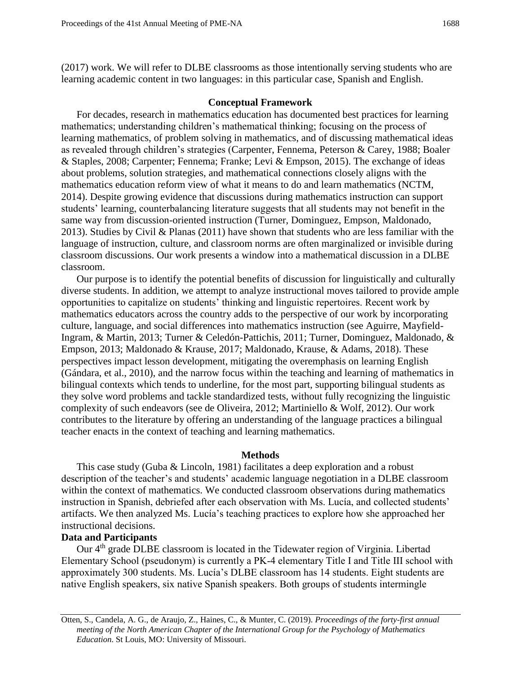(2017) work. We will refer to DLBE classrooms as those intentionally serving students who are learning academic content in two languages: in this particular case, Spanish and English.

## **Conceptual Framework**

For decades, research in mathematics education has documented best practices for learning mathematics; understanding children's mathematical thinking; focusing on the process of learning mathematics, of problem solving in mathematics, and of discussing mathematical ideas as revealed through children's strategies (Carpenter, Fennema, Peterson & Carey, 1988; Boaler & Staples, 2008; Carpenter; Fennema; Franke; Levi & Empson, 2015). The exchange of ideas about problems, solution strategies, and mathematical connections closely aligns with the mathematics education reform view of what it means to do and learn mathematics (NCTM, 2014). Despite growing evidence that discussions during mathematics instruction can support students' learning, counterbalancing literature suggests that all students may not benefit in the same way from discussion-oriented instruction (Turner, Dominguez, Empson, Maldonado, 2013). Studies by Civil & Planas (2011) have shown that students who are less familiar with the language of instruction, culture, and classroom norms are often marginalized or invisible during classroom discussions. Our work presents a window into a mathematical discussion in a DLBE classroom.

Our purpose is to identify the potential benefits of discussion for linguistically and culturally diverse students. In addition, we attempt to analyze instructional moves tailored to provide ample opportunities to capitalize on students' thinking and linguistic repertoires. Recent work by mathematics educators across the country adds to the perspective of our work by incorporating culture, language, and social differences into mathematics instruction (see Aguirre, Mayfield-Ingram, & Martin, 2013; Turner & Celedón-Pattichis, 2011; Turner, Dominguez, Maldonado, & Empson, 2013; Maldonado & Krause, 2017; Maldonado, Krause, & Adams, 2018). These perspectives impact lesson development, mitigating the overemphasis on learning English (Gándara, et al., 2010), and the narrow focus within the teaching and learning of mathematics in bilingual contexts which tends to underline, for the most part, supporting bilingual students as they solve word problems and tackle standardized tests, without fully recognizing the linguistic complexity of such endeavors (see de Oliveira, 2012; Martiniello & Wolf, 2012). Our work contributes to the literature by offering an understanding of the language practices a bilingual teacher enacts in the context of teaching and learning mathematics.

#### **Methods**

This case study (Guba & Lincoln, 1981) facilitates a deep exploration and a robust description of the teacher's and students' academic language negotiation in a DLBE classroom within the context of mathematics. We conducted classroom observations during mathematics instruction in Spanish, debriefed after each observation with Ms. Lucía, and collected students' artifacts. We then analyzed Ms. Lucía's teaching practices to explore how she approached her instructional decisions.

# **Data and Participants**

Our 4<sup>th</sup> grade DLBE classroom is located in the Tidewater region of Virginia. Libertad Elementary School (pseudonym) is currently a PK-4 elementary Title I and Title III school with approximately 300 students. Ms. Lucía's DLBE classroom has 14 students. Eight students are native English speakers, six native Spanish speakers. Both groups of students intermingle

Otten, S., Candela, A. G., de Araujo, Z., Haines, C., & Munter, C. (2019). *Proceedings of the forty-first annual meeting of the North American Chapter of the International Group for the Psychology of Mathematics Education*. St Louis, MO: University of Missouri.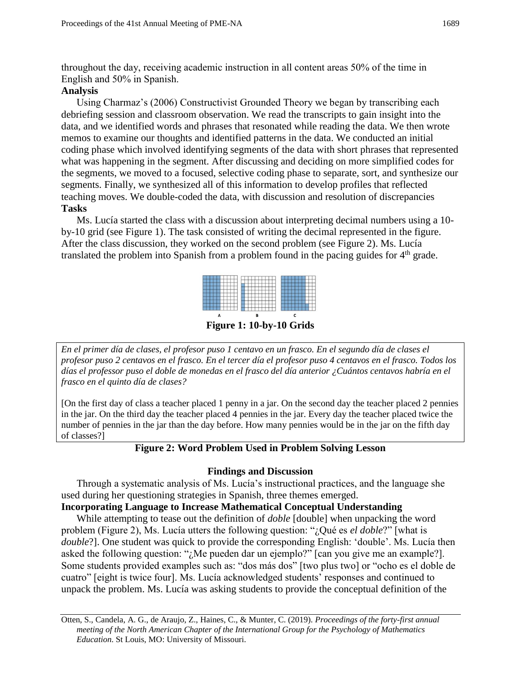throughout the day, receiving academic instruction in all content areas 50% of the time in English and 50% in Spanish.

# **Analysis**

Using Charmaz's (2006) Constructivist Grounded Theory we began by transcribing each debriefing session and classroom observation. We read the transcripts to gain insight into the data, and we identified words and phrases that resonated while reading the data. We then wrote memos to examine our thoughts and identified patterns in the data. We conducted an initial coding phase which involved identifying segments of the data with short phrases that represented what was happening in the segment. After discussing and deciding on more simplified codes for the segments, we moved to a focused, selective coding phase to separate, sort, and synthesize our segments. Finally, we synthesized all of this information to develop profiles that reflected teaching moves. We double-coded the data, with discussion and resolution of discrepancies **Tasks**

Ms. Lucía started the class with a discussion about interpreting decimal numbers using a 10 by-10 grid (see Figure 1). The task consisted of writing the decimal represented in the figure. After the class discussion, they worked on the second problem (see Figure 2). Ms. Lucía translated the problem into Spanish from a problem found in the pacing guides for  $4<sup>th</sup>$  grade.



**Figure 1: 10-by-10 Grids** 

*En el primer día de clases, el profesor puso 1 centavo en un frasco. En el segundo día de clases el profesor puso 2 centavos en el frasco. En el tercer día el profesor puso 4 centavos en el frasco. Todos los días el professor puso el doble de monedas en el frasco del día anterior ¿Cuántos centavos habría en el frasco en el quinto día de clases?*

[On the first day of class a teacher placed 1 penny in a jar. On the second day the teacher placed 2 pennies in the jar. On the third day the teacher placed 4 pennies in the jar. Every day the teacher placed twice the number of pennies in the jar than the day before. How many pennies would be in the jar on the fifth day of classes?]

# **Figure 2: Word Problem Used in Problem Solving Lesson**

# **Findings and Discussion**

Through a systematic analysis of Ms. Lucía's instructional practices, and the language she used during her questioning strategies in Spanish, three themes emerged.

# **Incorporating Language to Increase Mathematical Conceptual Understanding**

While attempting to tease out the definition of *doble* [double] when unpacking the word problem (Figure 2), Ms. Lucía utters the following question: "¿Qué es *el doble*?" [what is *double*?]. One student was quick to provide the corresponding English: 'double'. Ms. Lucía then asked the following question: "*i*, Me pueden dar un ejemplo?" [can you give me an example?]. Some students provided examples such as: "dos más dos" [two plus two] or "ocho es el doble de cuatro" [eight is twice four]. Ms. Lucía acknowledged students' responses and continued to unpack the problem. Ms. Lucía was asking students to provide the conceptual definition of the

Otten, S., Candela, A. G., de Araujo, Z., Haines, C., & Munter, C. (2019). *Proceedings of the forty-first annual meeting of the North American Chapter of the International Group for the Psychology of Mathematics Education*. St Louis, MO: University of Missouri.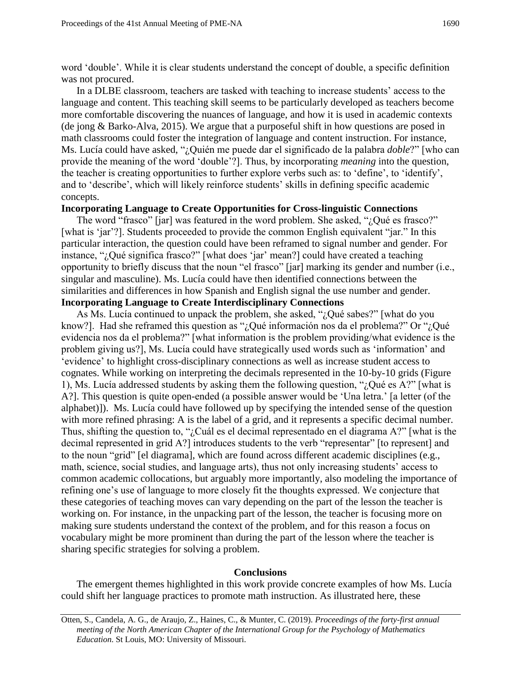word 'double'. While it is clear students understand the concept of double, a specific definition was not procured.

In a DLBE classroom, teachers are tasked with teaching to increase students' access to the language and content. This teaching skill seems to be particularly developed as teachers become more comfortable discovering the nuances of language, and how it is used in academic contexts (de jong & Barko-Alva, 2015). We argue that a purposeful shift in how questions are posed in math classrooms could foster the integration of language and content instruction. For instance, Ms. Lucía could have asked, "¿Quién me puede dar el significado de la palabra *doble*?" [who can provide the meaning of the word 'double'?]. Thus, by incorporating *meaning* into the question, the teacher is creating opportunities to further explore verbs such as: to 'define', to 'identify', and to 'describe', which will likely reinforce students' skills in defining specific academic concepts.

## **Incorporating Language to Create Opportunities for Cross-linguistic Connections**

The word "frasco" [jar] was featured in the word problem. She asked, "¿Qué es frasco?" [what is 'jar'?]. Students proceeded to provide the common English equivalent "jar." In this particular interaction, the question could have been reframed to signal number and gender. For instance, "¿Qué significa frasco?" [what does 'jar' mean?] could have created a teaching opportunity to briefly discuss that the noun "el frasco" [jar] marking its gender and number (i.e., singular and masculine). Ms. Lucía could have then identified connections between the similarities and differences in how Spanish and English signal the use number and gender. **Incorporating Language to Create Interdisciplinary Connections**

As Ms. Lucía continued to unpack the problem, she asked, "¿Qué sabes?" [what do you know?]. Had she reframed this question as " $i$ Qué información nos da el problema?" Or " $i$ Qué evidencia nos da el problema?" [what information is the problem providing/what evidence is the problem giving us?], Ms. Lucía could have strategically used words such as 'information' and 'evidence' to highlight cross-disciplinary connections as well as increase student access to cognates. While working on interpreting the decimals represented in the 10-by-10 grids (Figure 1), Ms. Lucía addressed students by asking them the following question, "¿Qué es A?" [what is A?]. This question is quite open-ended (a possible answer would be 'Una letra.' [a letter (of the alphabet)]). Ms. Lucía could have followed up by specifying the intended sense of the question with more refined phrasing: A is the label of a grid, and it represents a specific decimal number. Thus, shifting the question to, "¿Cuál es el decimal representado en el diagrama A?" [what is the decimal represented in grid A?] introduces students to the verb "representar" [to represent] and to the noun "grid" [el diagrama], which are found across different academic disciplines (e.g., math, science, social studies, and language arts), thus not only increasing students' access to common academic collocations, but arguably more importantly, also modeling the importance of refining one's use of language to more closely fit the thoughts expressed. We conjecture that these categories of teaching moves can vary depending on the part of the lesson the teacher is working on. For instance, in the unpacking part of the lesson, the teacher is focusing more on making sure students understand the context of the problem, and for this reason a focus on vocabulary might be more prominent than during the part of the lesson where the teacher is sharing specific strategies for solving a problem.

#### **Conclusions**

The emergent themes highlighted in this work provide concrete examples of how Ms. Lucía could shift her language practices to promote math instruction. As illustrated here, these

Otten, S., Candela, A. G., de Araujo, Z., Haines, C., & Munter, C. (2019). *Proceedings of the forty-first annual meeting of the North American Chapter of the International Group for the Psychology of Mathematics Education*. St Louis, MO: University of Missouri.